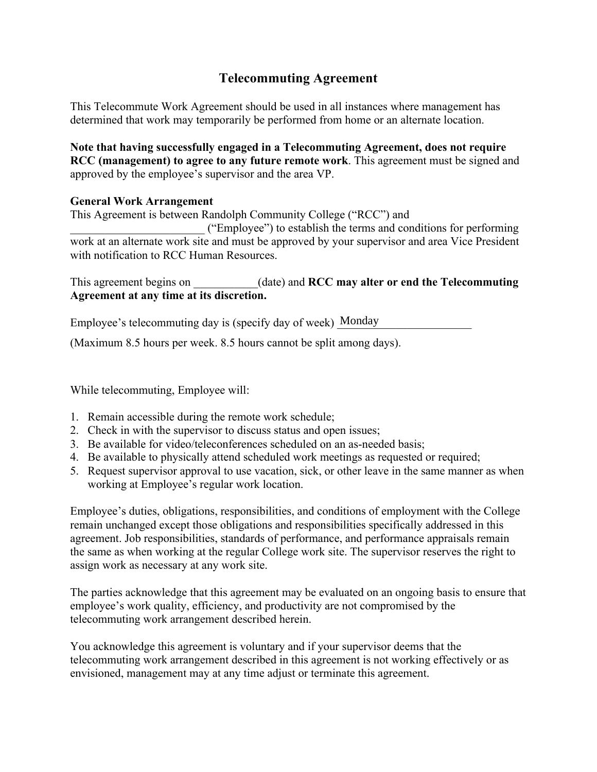## **Telecommuting Agreement**

This Telecommute Work Agreement should be used in all instances where management has determined that work may temporarily be performed from home or an alternate location.

**Note that having successfully engaged in a Telecommuting Agreement, does not require RCC (management) to agree to any future remote work**. This agreement must be signed and approved by the employee's supervisor and the area VP.

## **General Work Arrangement**

This Agreement is between Randolph Community College ("RCC") and

\_\_\_\_\_\_\_\_\_\_\_\_\_\_\_\_\_\_\_\_\_\_\_ ("Employee") to establish the terms and conditions for performing work at an alternate work site and must be approved by your supervisor and area Vice President with notification to RCC Human Resources.

This agreement begins on (date) and **RCC may alter or end the Telecommuting Agreement at any time at its discretion.**

Employee's telecommuting day is (specify day of week) Monday

(Maximum 8.5 hours per week. 8.5 hours cannot be split among days).

While telecommuting, Employee will:

- 1. Remain accessible during the remote work schedule;
- 2. Check in with the supervisor to discuss status and open issues;
- 3. Be available for video/teleconferences scheduled on an as-needed basis;
- 4. Be available to physically attend scheduled work meetings as requested or required;
- 5. Request supervisor approval to use vacation, sick, or other leave in the same manner as when working at Employee's regular work location.

Employee's duties, obligations, responsibilities, and conditions of employment with the College remain unchanged except those obligations and responsibilities specifically addressed in this agreement. Job responsibilities, standards of performance, and performance appraisals remain the same as when working at the regular College work site. The supervisor reserves the right to assign work as necessary at any work site.

The parties acknowledge that this agreement may be evaluated on an ongoing basis to ensure that employee's work quality, efficiency, and productivity are not compromised by the telecommuting work arrangement described herein.

You acknowledge this agreement is voluntary and if your supervisor deems that the telecommuting work arrangement described in this agreement is not working effectively or as envisioned, management may at any time adjust or terminate this agreement.